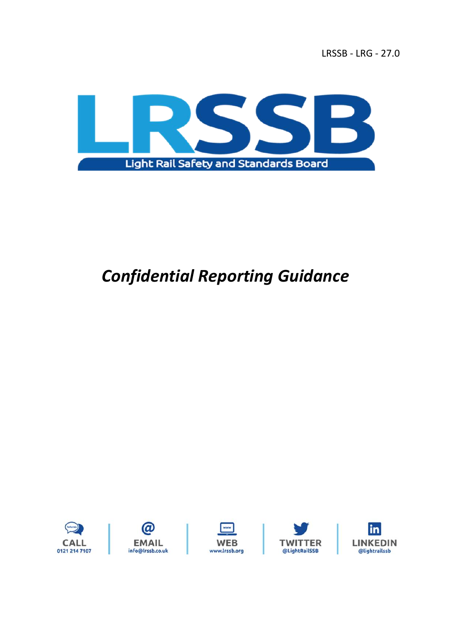

# *Confidential Reporting Guidance*

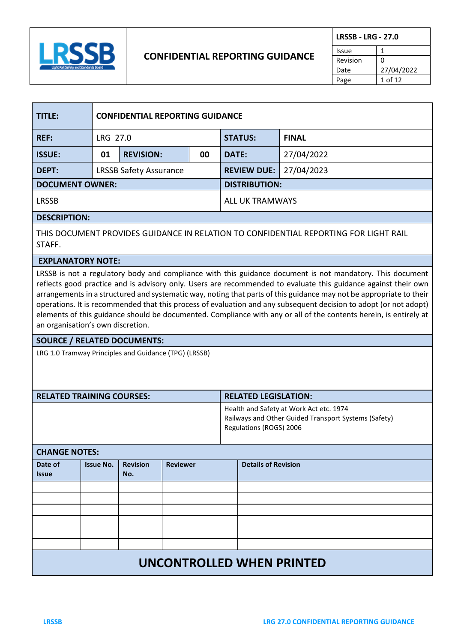

## **CONFIDENTIAL REPORTING GUIDANCE**

| <b>LRSSB - LRG - 27.0</b> |            |
|---------------------------|------------|
| Issue                     |            |
| Revision                  | 0          |
| Date                      | 27/04/2022 |
| Page                      | 1 of 12    |

| TITLE:                 | <b>CONFIDENTIAL REPORTING GUIDANCE</b> |                  |                |                      |            |
|------------------------|----------------------------------------|------------------|----------------|----------------------|------------|
| <b>REF:</b>            | LRG 27.0                               |                  | <b>STATUS:</b> | <b>FINAL</b>         |            |
| <b>ISSUE:</b>          | 01                                     | <b>REVISION:</b> | 00             | <b>DATE:</b>         | 27/04/2022 |
| DEPT:                  | <b>LRSSB Safety Assurance</b>          |                  |                | <b>REVIEW DUE:</b>   | 27/04/2023 |
| <b>DOCUMENT OWNER:</b> |                                        |                  |                | <b>DISTRIBUTION:</b> |            |
| <b>LRSSB</b>           |                                        |                  |                | ALL UK TRAMWAYS      |            |
| <b>DESCRIPTION:</b>    |                                        |                  |                |                      |            |
| . _ __ _ _ _ _ _       |                                        |                  |                |                      |            |

THIS DOCUMENT PROVIDES GUIDANCE IN RELATION TO CONFIDENTIAL REPORTING FOR LIGHT RAIL STAFF.

#### **EXPLANATORY NOTE:**

LRSSB is not a regulatory body and compliance with this guidance document is not mandatory. This document reflects good practice and is advisory only. Users are recommended to evaluate this guidance against their own arrangements in a structured and systematic way, noting that parts of this guidance may not be appropriate to their operations. It is recommended that this process of evaluation and any subsequent decision to adopt (or not adopt) elements of this guidance should be documented. Compliance with any or all of the contents herein, is entirely at an organisation's own discretion.

#### **SOURCE / RELATED DOCUMENTS:**

LRG 1.0 Tramway Principles and Guidance (TPG) (LRSSB)

| <b>RELATED TRAINING COURSES:</b> | <b>RELATED LEGISLATION:</b>                                                                                                |
|----------------------------------|----------------------------------------------------------------------------------------------------------------------------|
|                                  | Health and Safety at Work Act etc. 1974<br>Railways and Other Guided Transport Systems (Safety)<br>Regulations (ROGS) 2006 |

#### **CHANGE NOTES:**

| . . <i>.</i>                     |                  |                        |                 |                            |
|----------------------------------|------------------|------------------------|-----------------|----------------------------|
| Date of<br><b>Issue</b>          | <b>Issue No.</b> | <b>Revision</b><br>No. | <b>Reviewer</b> | <b>Details of Revision</b> |
|                                  |                  |                        |                 |                            |
|                                  |                  |                        |                 |                            |
|                                  |                  |                        |                 |                            |
|                                  |                  |                        |                 |                            |
|                                  |                  |                        |                 |                            |
|                                  |                  |                        |                 |                            |
| <b>UNCONTROLLED WHEN PRINTED</b> |                  |                        |                 |                            |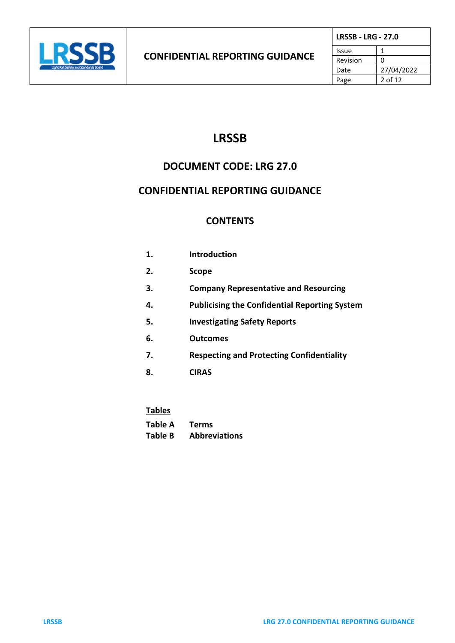

# **LRSSB**

# **DOCUMENT CODE: LRG 27.0**

# **CONFIDENTIAL REPORTING GUIDANCE**

# **CONTENTS**

| 1. | Introduction                                         |
|----|------------------------------------------------------|
| 2. | <b>Scope</b>                                         |
| 3. | <b>Company Representative and Resourcing</b>         |
| 4. | <b>Publicising the Confidential Reporting System</b> |
| 5. | <b>Investigating Safety Reports</b>                  |
| 6. | <b>Outcomes</b>                                      |
| 7. | <b>Respecting and Protecting Confidentiality</b>     |
| 8. | <b>CIRAS</b>                                         |
|    |                                                      |

| Tables  |                      |
|---------|----------------------|
| Table A | <b>Terms</b>         |
| Table B | <b>Abbreviations</b> |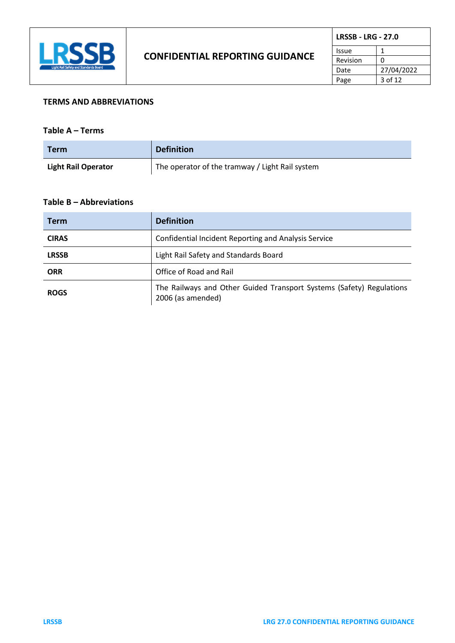

| <b>LRSSB - LRG - 27.0</b> |            |
|---------------------------|------------|
| Issue                     |            |
| Revision                  | ი          |
| Date                      | 27/04/2022 |
| Page                      | $3$ of 12  |

#### **TERMS AND ABBREVIATIONS**

#### **Table A – Terms**

| <b>Term</b>                | <b>Definition</b>                               |
|----------------------------|-------------------------------------------------|
| <b>Light Rail Operator</b> | The operator of the tramway / Light Rail system |

#### **Table B – Abbreviations**

| <b>Term</b>  | <b>Definition</b>                                                                         |  |
|--------------|-------------------------------------------------------------------------------------------|--|
| <b>CIRAS</b> | <b>Confidential Incident Reporting and Analysis Service</b>                               |  |
| <b>LRSSB</b> | Light Rail Safety and Standards Board                                                     |  |
| <b>ORR</b>   | Office of Road and Rail                                                                   |  |
| <b>ROGS</b>  | The Railways and Other Guided Transport Systems (Safety) Regulations<br>2006 (as amended) |  |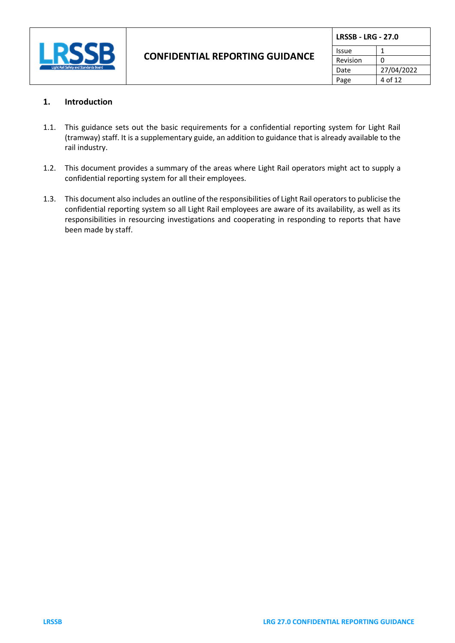

| <b>LRSSB - LRG - 27.0</b> |            |
|---------------------------|------------|
| Issue                     |            |
| Revision                  | O          |
| Date                      | 27/04/2022 |
| Page                      | 4 of 12    |

#### **1. Introduction**

- 1.1. This guidance sets out the basic requirements for a confidential reporting system for Light Rail (tramway) staff. It is a supplementary guide, an addition to guidance that is already available to the rail industry.
- 1.2. This document provides a summary of the areas where Light Rail operators might act to supply a confidential reporting system for all their employees.
- 1.3. This document also includes an outline of the responsibilities of Light Rail operators to publicise the confidential reporting system so all Light Rail employees are aware of its availability, as well as its responsibilities in resourcing investigations and cooperating in responding to reports that have been made by staff.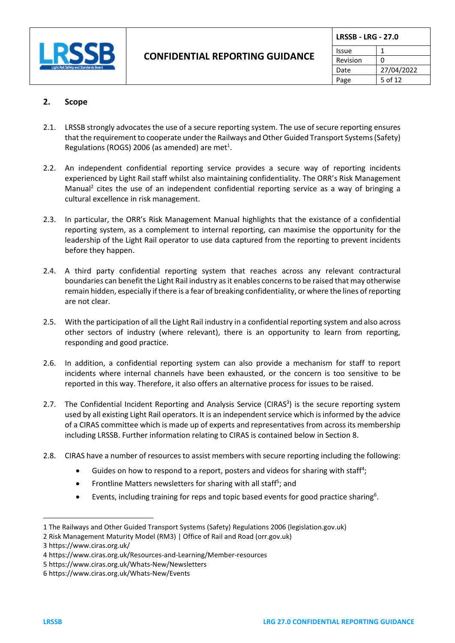

| <b>LRSSB - LRG - 27.0</b> |            |
|---------------------------|------------|
| Issue                     |            |
| Revision                  | O          |
| Date                      | 27/04/2022 |
| Page                      | 5 of 12    |

## **2. Scope**

- 2.1. LRSSB strongly advocates the use of a secure reporting system. The use of secure reporting ensures that the requirement to cooperate under the Railways and Other Guided Transport Systems (Safety) Regulations (ROGS) 2006 (as amended) are met<sup>1</sup>.
- 2.2. An independent confidential reporting service provides a secure way of reporting incidents experienced by Light Rail staff whilst also maintaining confidentiality. The ORR's Risk Management Manual<sup>2</sup> cites the use of an independent confidential reporting service as a way of bringing a cultural excellence in risk management.
- 2.3. In particular, the ORR's Risk Management Manual highlights that the existance of a confidential reporting system, as a complement to internal reporting, can maximise the opportunity for the leadership of the Light Rail operator to use data captured from the reporting to prevent incidents before they happen.
- 2.4. A third party confidential reporting system that reaches across any relevant contractural boundaries can benefit the Light Rail industry as it enables concerns to be raised that may otherwise remain hidden, especially if there is a fear of breaking confidentiality, or where the lines of reporting are not clear.
- 2.5. With the participation of all the Light Rail industry in a confidential reporting system and also across other sectors of industry (where relevant), there is an opportunity to learn from reporting, responding and good practice.
- 2.6. In addition, a confidential reporting system can also provide a mechanism for staff to report incidents where internal channels have been exhausted, or the concern is too sensitive to be reported in this way. Therefore, it also offers an alternative process for issues to be raised.
- 2.7. The Confidential Incident Reporting and Analysis Service (CIRAS<sup>3</sup>) is the secure reporting system used by all existing Light Rail operators. It is an independent service which is informed by the advice of a CIRAS committee which is made up of experts and representatives from across its membership including LRSSB. Further information relating to CIRAS is contained below in Section 8.
- 2.8. CIRAS have a number of resources to assist members with secure reporting including the following:
	- Guides on how to respond to a report, posters and videos for sharing with staff<sup>4</sup>;
	- Frontline Matters newsletters for sharing with all staff<sup>5</sup>; and
	- Events, including training for reps and topic based events for good practice sharing<sup>6</sup>.

<sup>1</sup> [The Railways and Other Guided Transport Systems \(Safety\) Regulations 2006 \(legislation.gov.uk\)](https://www.legislation.gov.uk/uksi/2006/599/contents/made)

<sup>2</sup> [Risk Management Maturity Model \(RM3\) | Office of Rail and Road \(orr.gov.uk\)](https://www.orr.gov.uk/guidance-compliance/rail/health-safety/strategy/rm3)

<sup>3</sup> <https://www.ciras.org.uk/>

<sup>4</sup> <https://www.ciras.org.uk/Resources-and-Learning/Member-resources>

<sup>5</sup> <https://www.ciras.org.uk/Whats-New/Newsletters>

<sup>6</sup> <https://www.ciras.org.uk/Whats-New/Events>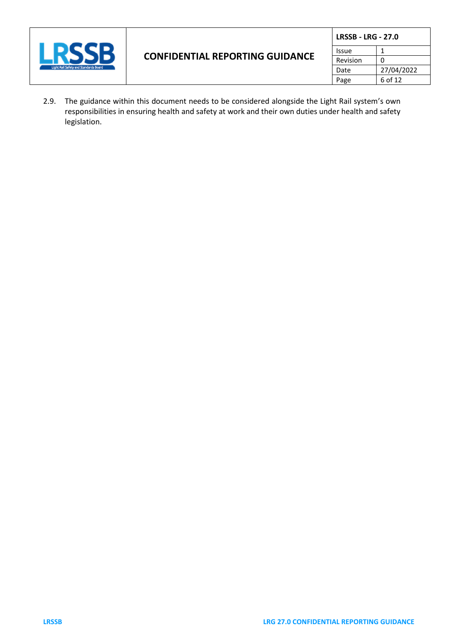

| <b>LRSSB - LRG - 27.0</b> |            |
|---------------------------|------------|
| Issue                     | 1          |
| Revision                  | ŋ          |
| Date                      | 27/04/2022 |
| Page                      | 6 of 12    |

2.9. The guidance within this document needs to be considered alongside the Light Rail system's own responsibilities in ensuring health and safety at work and their own duties under health and safety legislation.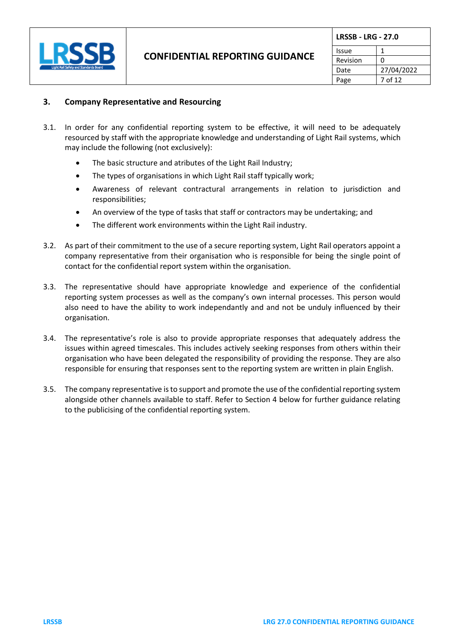

|          | <b>LRSSB - LRG - 27.0</b> |  |
|----------|---------------------------|--|
| Issue    |                           |  |
| Revision |                           |  |
| Date     | 27/04/2022                |  |
| Page     | 7 of 12                   |  |

#### **3. Company Representative and Resourcing**

- 3.1. In order for any confidential reporting system to be effective, it will need to be adequately resourced by staff with the appropriate knowledge and understanding of Light Rail systems, which may include the following (not exclusively):
	- The basic structure and atributes of the Light Rail Industry;
	- The types of organisations in which Light Rail staff typically work;
	- Awareness of relevant contractural arrangements in relation to jurisdiction and responsibilities;
	- An overview of the type of tasks that staff or contractors may be undertaking; and
	- The different work environments within the Light Rail industry.
- 3.2. As part of their commitment to the use of a secure reporting system, Light Rail operators appoint a company representative from their organisation who is responsible for being the single point of contact for the confidential report system within the organisation.
- 3.3. The representative should have appropriate knowledge and experience of the confidential reporting system processes as well as the company's own internal processes. This person would also need to have the ability to work independantly and and not be unduly influenced by their organisation.
- 3.4. The representative's role is also to provide appropriate responses that adequately address the issues within agreed timescales. This includes actively seeking responses from others within their organisation who have been delegated the responsibility of providing the response. They are also responsible for ensuring that responses sent to the reporting system are written in plain English.
- 3.5. The company representative isto support and promote the use of the confidential reporting system alongside other channels available to staff. Refer to Section 4 below for further guidance relating to the publicising of the confidential reporting system.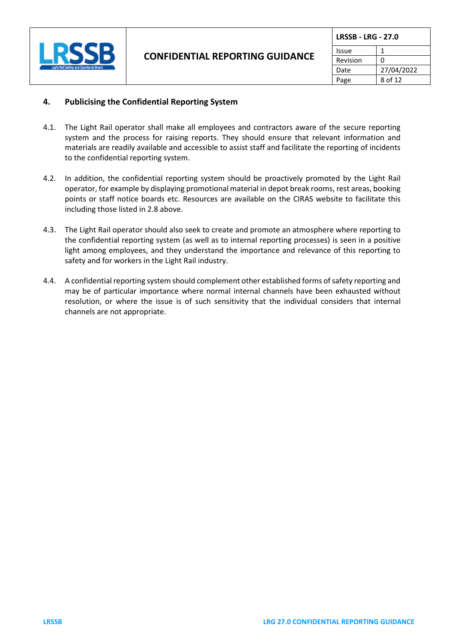

| <b>LRSSB - LRG - 27.0</b> |            |
|---------------------------|------------|
| Issue                     |            |
| Revision                  | O          |
| Date                      | 27/04/2022 |
| Page                      | 8 of 12    |

#### **4. Publicising the Confidential Reporting System**

- 4.1. The Light Rail operator shall make all employees and contractors aware of the secure reporting system and the process for raising reports. They should ensure that relevant information and materials are readily available and accessible to assist staff and facilitate the reporting of incidents to the confidential reporting system.
- 4.2. In addition, the confidential reporting system should be proactively promoted by the Light Rail operator, for example by displaying promotional material in depot break rooms, rest areas, booking points or staff notice boards etc. Resources are available on the CIRAS website to facilitate this including those listed in 2.8 above.
- 4.3. The Light Rail operator should also seek to create and promote an atmosphere where reporting to the confidential reporting system (as well as to internal reporting processes) is seen in a positive light among employees, and they understand the importance and relevance of this reporting to safety and for workers in the Light Rail industry.
- 4.4. A confidential reporting system should complement other established forms of safety reporting and may be of particular importance where normal internal channels have been exhausted without resolution, or where the issue is of such sensitivity that the individual considers that internal channels are not appropriate.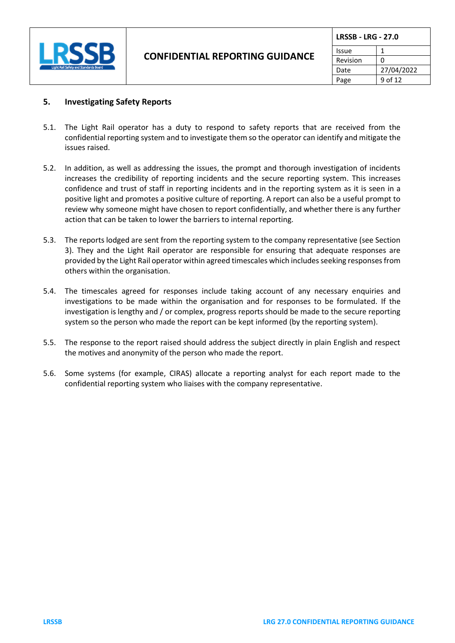

| <b>LRSSB - LRG - 27.0</b> |            |
|---------------------------|------------|
| Issue                     |            |
| Revision                  | n          |
| Date                      | 27/04/2022 |
| Page                      | 9 of 12    |

#### **5. Investigating Safety Reports**

- 5.1. The Light Rail operator has a duty to respond to safety reports that are received from the confidential reporting system and to investigate them so the operator can identify and mitigate the issues raised.
- 5.2. In addition, as well as addressing the issues, the prompt and thorough investigation of incidents increases the credibility of reporting incidents and the secure reporting system. This increases confidence and trust of staff in reporting incidents and in the reporting system as it is seen in a positive light and promotes a positive culture of reporting. A report can also be a useful prompt to review why someone might have chosen to report confidentially, and whether there is any further action that can be taken to lower the barriers to internal reporting.
- 5.3. The reports lodged are sent from the reporting system to the company representative (see Section 3). They and the Light Rail operator are responsible for ensuring that adequate responses are provided by the Light Rail operator within agreed timescales which includes seeking responses from others within the organisation.
- 5.4. The timescales agreed for responses include taking account of any necessary enquiries and investigations to be made within the organisation and for responses to be formulated. If the investigation is lengthy and / or complex, progress reports should be made to the secure reporting system so the person who made the report can be kept informed (by the reporting system).
- 5.5. The response to the report raised should address the subject directly in plain English and respect the motives and anonymity of the person who made the report.
- 5.6. Some systems (for example, CIRAS) allocate a reporting analyst for each report made to the confidential reporting system who liaises with the company representative.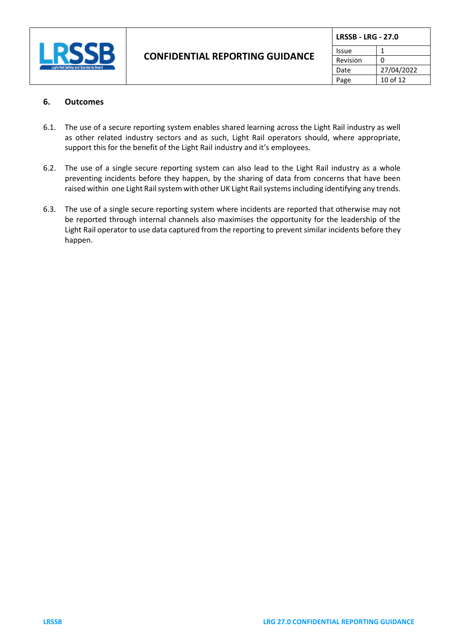

| <b>LRSSB - LRG - 27.0</b> |            |
|---------------------------|------------|
| Issue                     |            |
| Revision                  | O          |
| Date                      | 27/04/2022 |
| Page                      | 10 of 12   |

#### **6. Outcomes**

- 6.1. The use of a secure reporting system enables shared learning across the Light Rail industry as well as other related industry sectors and as such, Light Rail operators should, where appropriate, support this for the benefit of the Light Rail industry and it's employees.
- 6.2. The use of a single secure reporting system can also lead to the Light Rail industry as a whole preventing incidents before they happen, by the sharing of data from concerns that have been raised within one Light Rail system with other UK Light Rail systemsincluding identifying any trends.
- 6.3. The use of a single secure reporting system where incidents are reported that otherwise may not be reported through internal channels also maximises the opportunity for the leadership of the Light Rail operator to use data captured from the reporting to prevent similar incidents before they happen.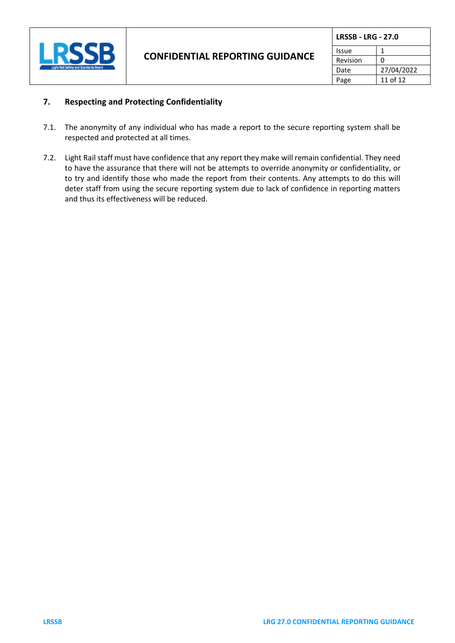

| <b>LRSSB - LRG - 27.0</b> |            |
|---------------------------|------------|
| Issue                     |            |
| Revision                  | ი          |
| Date                      | 27/04/2022 |
| Page                      | 11 of 12   |

### **7. Respecting and Protecting Confidentiality**

- 7.1. The anonymity of any individual who has made a report to the secure reporting system shall be respected and protected at all times.
- 7.2. Light Rail staff must have confidence that any report they make will remain confidential. They need to have the assurance that there will not be attempts to override anonymity or confidentiality, or to try and identify those who made the report from their contents. Any attempts to do this will deter staff from using the secure reporting system due to lack of confidence in reporting matters and thus its effectiveness will be reduced.